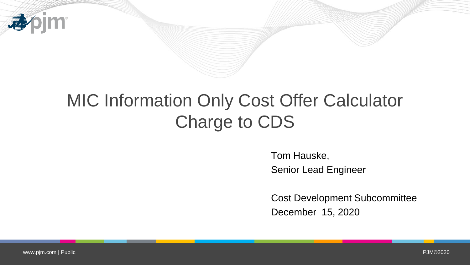

# MIC Information Only Cost Offer Calculator Charge to CDS

Tom Hauske, Senior Lead Engineer

Cost Development Subcommittee December 15, 2020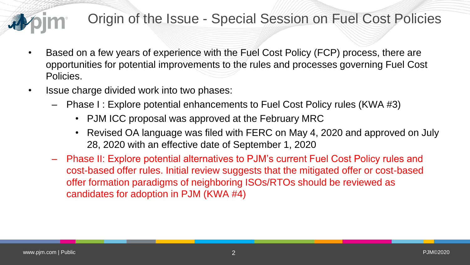### Origin of the Issue - Special Session on Fuel Cost Policies

- Based on a few years of experience with the Fuel Cost Policy (FCP) process, there are opportunities for potential improvements to the rules and processes governing Fuel Cost Policies.
- Issue charge divided work into two phases:
	- Phase I : Explore potential enhancements to Fuel Cost Policy rules (KWA #3)
		- PJM ICC proposal was approved at the February MRC
		- Revised OA language was filed with FERC on May 4, 2020 and approved on July 28, 2020 with an effective date of September 1, 2020
	- Phase II: Explore potential alternatives to PJM's current Fuel Cost Policy rules and cost-based offer rules. Initial review suggests that the mitigated offer or cost-based offer formation paradigms of neighboring ISOs/RTOs should be reviewed as candidates for adoption in PJM (KWA #4)

www.physician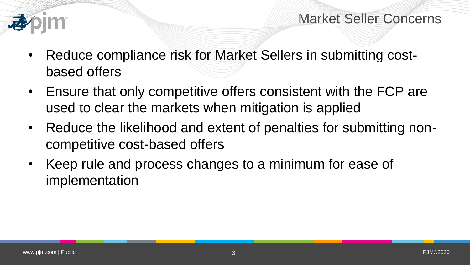

Market Seller Concerns

- Reduce compliance risk for Market Sellers in submitting costbased offers
- Ensure that only competitive offers consistent with the FCP are used to clear the markets when mitigation is applied
- Reduce the likelihood and extent of penalties for submitting noncompetitive cost-based offers
- Keep rule and process changes to a minimum for ease of implementation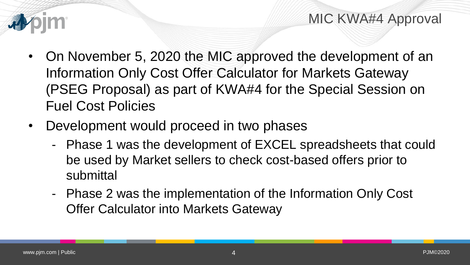

- On November 5, 2020 the MIC approved the development of an Information Only Cost Offer Calculator for Markets Gateway (PSEG Proposal) as part of KWA#4 for the Special Session on Fuel Cost Policies
- Development would proceed in two phases
	- Phase 1 was the development of EXCEL spreadsheets that could be used by Market sellers to check cost-based offers prior to submittal
	- Phase 2 was the implementation of the Information Only Cost Offer Calculator into Markets Gateway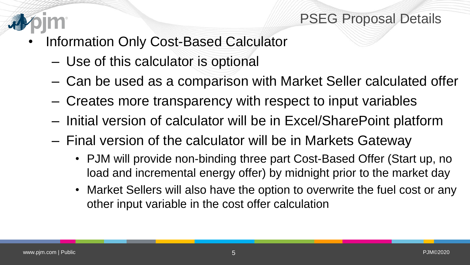

#### PSEG Proposal Details

- Information Only Cost-Based Calculator
	- Use of this calculator is optional
	- Can be used as a comparison with Market Seller calculated offer
	- Creates more transparency with respect to input variables
	- Initial version of calculator will be in Excel/SharePoint platform
	- Final version of the calculator will be in Markets Gateway
		- PJM will provide non-binding three part Cost-Based Offer (Start up, no load and incremental energy offer) by midnight prior to the market day
		- Market Sellers will also have the option to overwrite the fuel cost or any other input variable in the cost offer calculation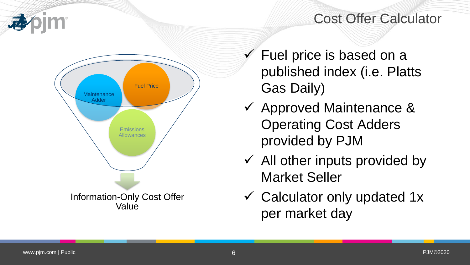#### Cost Offer Calculator



- $\checkmark$  Fuel price is based on a published index (i.e. Platts Gas Daily)
- Approved Maintenance & Operating Cost Adders provided by PJM
- $\checkmark$  All other inputs provided by Market Seller
- $\checkmark$  Calculator only updated 1x per market day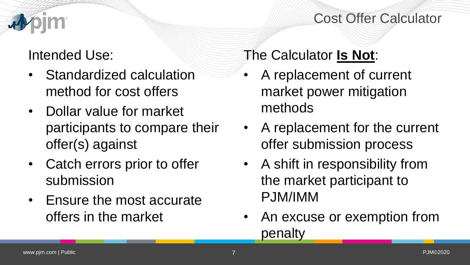#### Cost Offer Calculator

## Intended Use:

- Standardized calculation method for cost offers
- Dollar value for market participants to compare their offer(s) against
- Catch errors prior to offer submission
- Ensure the most accurate offers in the market

The Calculator **Is Not**:

- A replacement of current market power mitigation methods
- A replacement for the current offer submission process
- A shift in responsibility from the market participant to PJM/IMM
- An excuse or exemption from penalty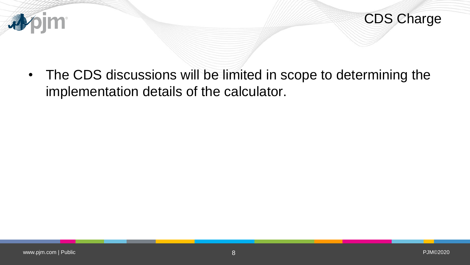



• The CDS discussions will be limited in scope to determining the implementation details of the calculator.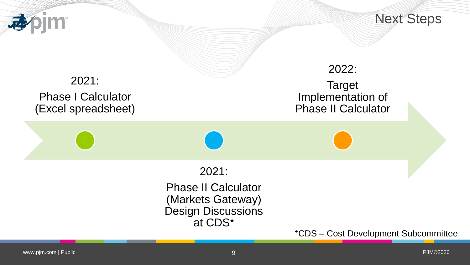

Next Steps